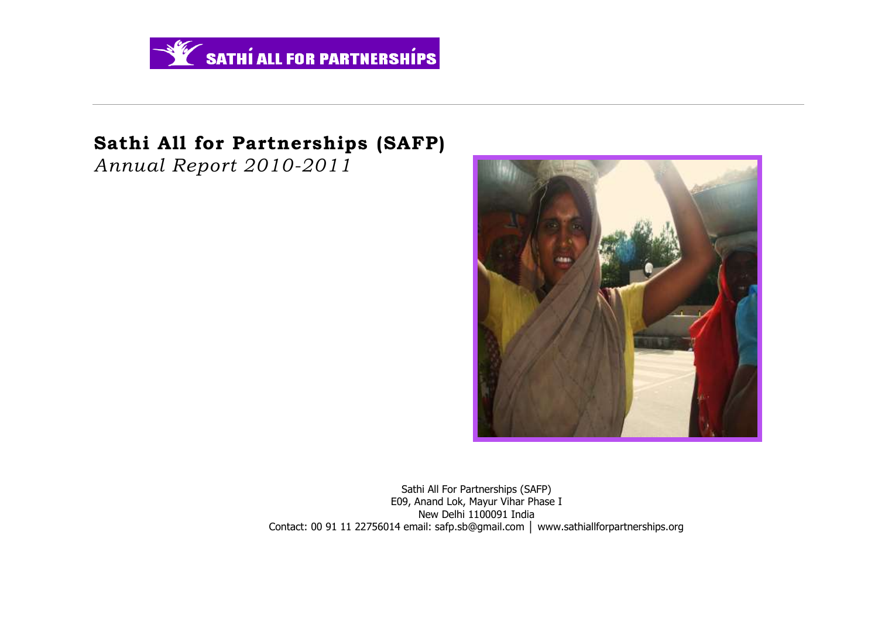

# **Sathi All for Partnerships (SAFP)**

*Annual Report 2010-2011*



Sathi All For Partnerships (SAFP) E09, Anand Lok, Mayur Vihar Phase I New Delhi 1100091 India Contact: 00 91 11 22756014 email: safp.sb@gmail.com │ www.sathiallforpartnerships.org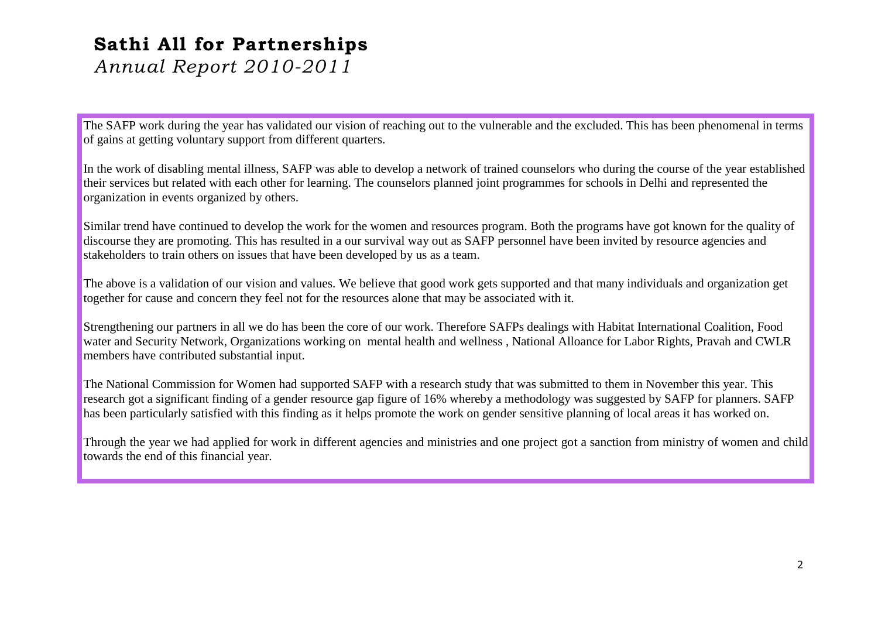# **Sathi All for Partnerships**

*Annual Report 2010-2011*

The SAFP work during the year has validated our vision of reaching out to the vulnerable and the excluded. This has been phenomenal in terms of gains at getting voluntary support from different quarters.

In the work of disabling mental illness, SAFP was able to develop a network of trained counselors who during the course of the year established their services but related with each other for learning. The counselors planned joint programmes for schools in Delhi and represented the organization in events organized by others.

Similar trend have continued to develop the work for the women and resources program. Both the programs have got known for the quality of discourse they are promoting. This has resulted in a our survival way out as SAFP personnel have been invited by resource agencies and stakeholders to train others on issues that have been developed by us as a team.

The above is a validation of our vision and values. We believe that good work gets supported and that many individuals and organization get together for cause and concern they feel not for the resources alone that may be associated with it.

Strengthening our partners in all we do has been the core of our work. Therefore SAFPs dealings with Habitat International Coalition, Food water and Security Network, Organizations working on mental health and wellness , National Alloance for Labor Rights, Pravah and CWLR members have contributed substantial input.

The National Commission for Women had supported SAFP with a research study that was submitted to them in November this year. This research got a significant finding of a gender resource gap figure of 16% whereby a methodology was suggested by SAFP for planners. SAFP has been particularly satisfied with this finding as it helps promote the work on gender sensitive planning of local areas it has worked on.

Through the year we had applied for work in different agencies and ministries and one project got a sanction from ministry of women and child towards the end of this financial year.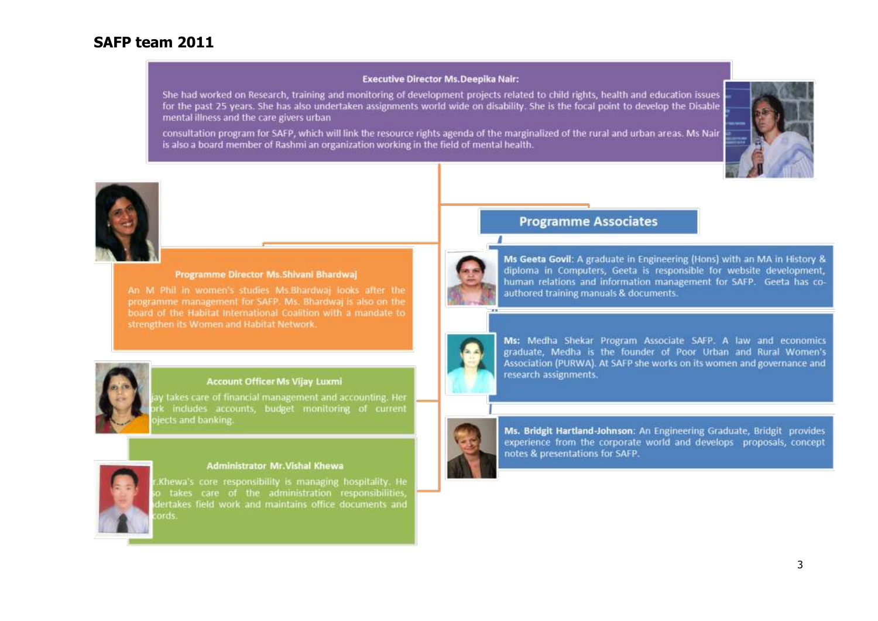# **SAFP team 2011**

#### **Executive Director Ms.Deepika Nair:**

She had worked on Research, training and monitoring of development projects related to child rights, health and education issues for the past 25 years. She has also undertaken assignments world wide on disability. She is the focal point to develop the Disable mental illness and the care givers urban

consultation program for SAFP, which will link the resource rights agenda of the marginalized of the rural and urban areas. Ms Nair is also a board member of Rashmi an organization working in the field of mental health.





#### Programme Director Ms. Shivani Bhardwai

programme management for SAFP. Ms. Bhardwai is also on the board of the Habitat International Coalition with a mandate to strengthen its Women and Habitat Network.



#### **Account Officer Ms Vijay Luxmi**

y takes care of financial management and accounting. Her includes accounts, budget monitoring of current jects and banking.



#### **Administrator Mr. Vishal Khewa**

Khewa's core responsibility is managing hospitality. He takes care of the administration responsibilities, lertakes field work and maintains office documents and ards.

# **Programme Associates**



Ms Geeta Govil: A graduate in Engineering (Hons) with an MA in History & diploma in Computers, Geeta is responsible for website development, human relations and information management for SAFP. Geeta has coauthored training manuals & documents.



Ms: Medha Shekar Program Associate SAFP. A law and economics graduate, Medha is the founder of Poor Urban and Rural Women's Association (PURWA). At SAFP she works on its women and governance and research assignments.



Ms. Bridgit Hartland-Johnson: An Engineering Graduate, Bridgit provides experience from the corporate world and develops proposals, concept notes & presentations for SAFP.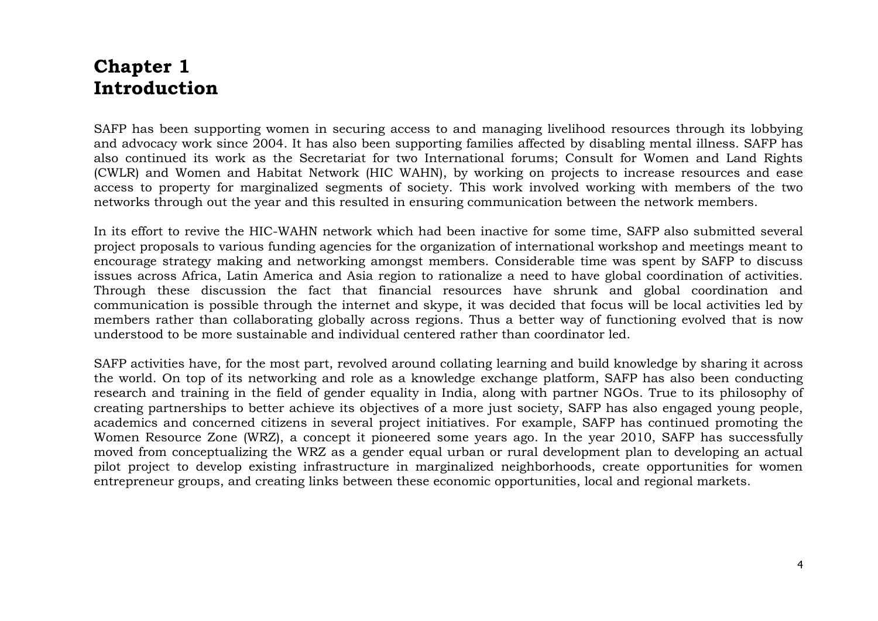# **Chapter 1 Introduction**

SAFP has been supporting women in securing access to and managing livelihood resources through its lobbying and advocacy work since 2004. It has also been supporting families affected by disabling mental illness. SAFP has also continued its work as the Secretariat for two International forums; Consult for Women and Land Rights (CWLR) and Women and Habitat Network (HIC WAHN), by working on projects to increase resources and ease access to property for marginalized segments of society. This work involved working with members of the two networks through out the year and this resulted in ensuring communication between the network members.

In its effort to revive the HIC-WAHN network which had been inactive for some time, SAFP also submitted several project proposals to various funding agencies for the organization of international workshop and meetings meant to encourage strategy making and networking amongst members. Considerable time was spent by SAFP to discuss issues across Africa, Latin America and Asia region to rationalize a need to have global coordination of activities. Through these discussion the fact that financial resources have shrunk and global coordination and communication is possible through the internet and skype, it was decided that focus will be local activities led by members rather than collaborating globally across regions. Thus a better way of functioning evolved that is now understood to be more sustainable and individual centered rather than coordinator led.

SAFP activities have, for the most part, revolved around collating learning and build knowledge by sharing it across the world. On top of its networking and role as a knowledge exchange platform, SAFP has also been conducting research and training in the field of gender equality in India, along with partner NGOs. True to its philosophy of creating partnerships to better achieve its objectives of a more just society, SAFP has also engaged young people, academics and concerned citizens in several project initiatives. For example, SAFP has continued promoting the Women Resource Zone (WRZ), a concept it pioneered some years ago. In the year 2010, SAFP has successfully moved from conceptualizing the WRZ as a gender equal urban or rural development plan to developing an actual pilot project to develop existing infrastructure in marginalized neighborhoods, create opportunities for women entrepreneur groups, and creating links between these economic opportunities, local and regional markets.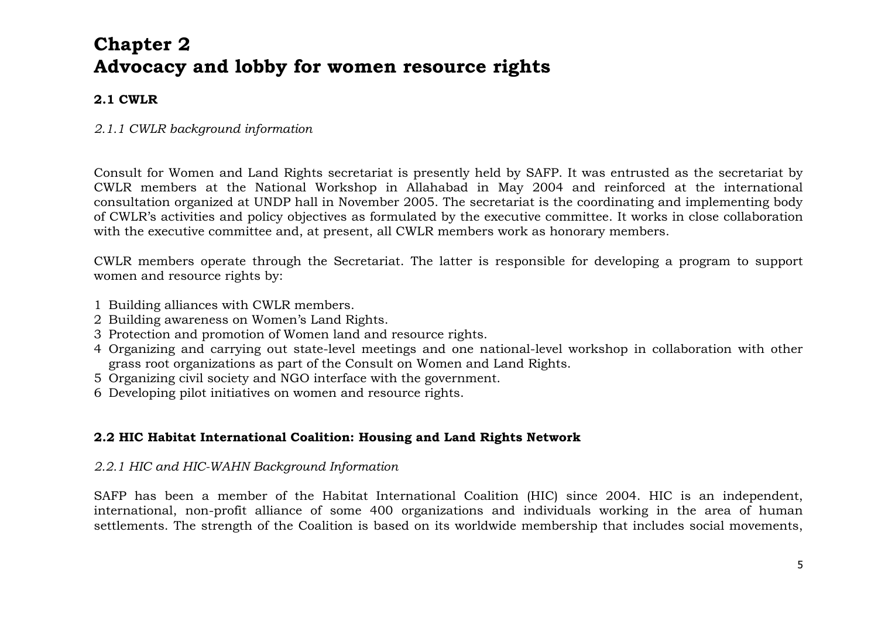# **Chapter 2 Advocacy and lobby for women resource rights**

# **2.1 CWLR**

# *2.1.1 CWLR background information*

Consult for Women and Land Rights secretariat is presently held by SAFP. It was entrusted as the secretariat by CWLR members at the National Workshop in Allahabad in May 2004 and reinforced at the international consultation organized at UNDP hall in November 2005. The secretariat is the coordinating and implementing body of CWLR's activities and policy objectives as formulated by the executive committee. It works in close collaboration with the executive committee and, at present, all CWLR members work as honorary members.

CWLR members operate through the Secretariat. The latter is responsible for developing a program to support women and resource rights by:

- 1 Building alliances with CWLR members.
- 2 Building awareness on Women's Land Rights.
- 3 Protection and promotion of Women land and resource rights.
- 4 Organizing and carrying out state-level meetings and one national-level workshop in collaboration with other grass root organizations as part of the Consult on Women and Land Rights.
- 5 Organizing civil society and NGO interface with the government.
- 6 Developing pilot initiatives on women and resource rights.

# **2.2 HIC Habitat International Coalition: Housing and Land Rights Network**

# *2.2.1 HIC and HIC-WAHN Background Information*

SAFP has been a member of the Habitat International Coalition (HIC) since 2004. HIC is an independent, international, non-profit alliance of some 400 organizations and individuals working in the area of human settlements. The strength of the Coalition is based on its worldwide membership that includes social movements,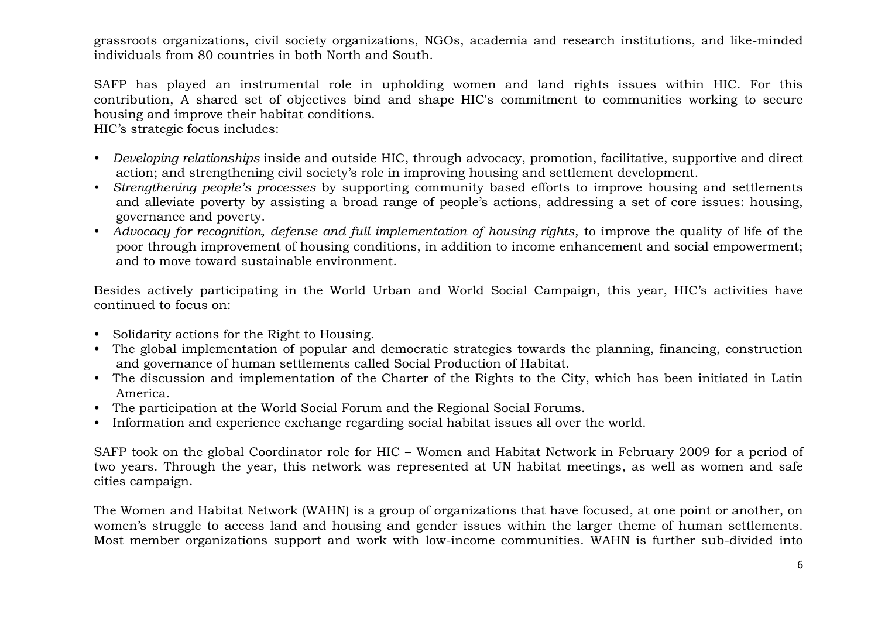grassroots organizations, civil society organizations, NGOs, academia and research institutions, and like-minded individuals from 80 countries in both North and South.

SAFP has played an instrumental role in upholding women and land rights issues within HIC. For this contribution, A shared set of objectives bind and shape HIC's commitment to communities working to secure housing and improve their habitat conditions.

HIC's strategic focus includes:

- *Developing relationships* inside and outside HIC, through advocacy, promotion, facilitative, supportive and direct action; and strengthening civil society's role in improving housing and settlement development.
- *Strengthening people's processes* by supporting community based efforts to improve housing and settlements and alleviate poverty by assisting a broad range of people's actions, addressing a set of core issues: housing, governance and poverty.
- *Advocacy for recognition, defense and full implementation of housing rights*, to improve the quality of life of the poor through improvement of housing conditions, in addition to income enhancement and social empowerment; and to move toward sustainable environment.

Besides actively participating in the World Urban and World Social Campaign, this year, HIC's activities have continued to focus on:

- Solidarity actions for the Right to Housing.
- The global implementation of popular and democratic strategies towards the planning, financing, construction and governance of human settlements called Social Production of Habitat.
- The discussion and implementation of the Charter of the Rights to the City, which has been initiated in Latin America.
- The participation at the World Social Forum and the Regional Social Forums.
- Information and experience exchange regarding social habitat issues all over the world.

SAFP took on the global Coordinator role for HIC – Women and Habitat Network in February 2009 for a period of two years. Through the year, this network was represented at UN habitat meetings, as well as women and safe cities campaign.

The Women and Habitat Network (WAHN) is a group of organizations that have focused, at one point or another, on women's struggle to access land and housing and gender issues within the larger theme of human settlements. Most member organizations support and work with low-income communities. WAHN is further sub-divided into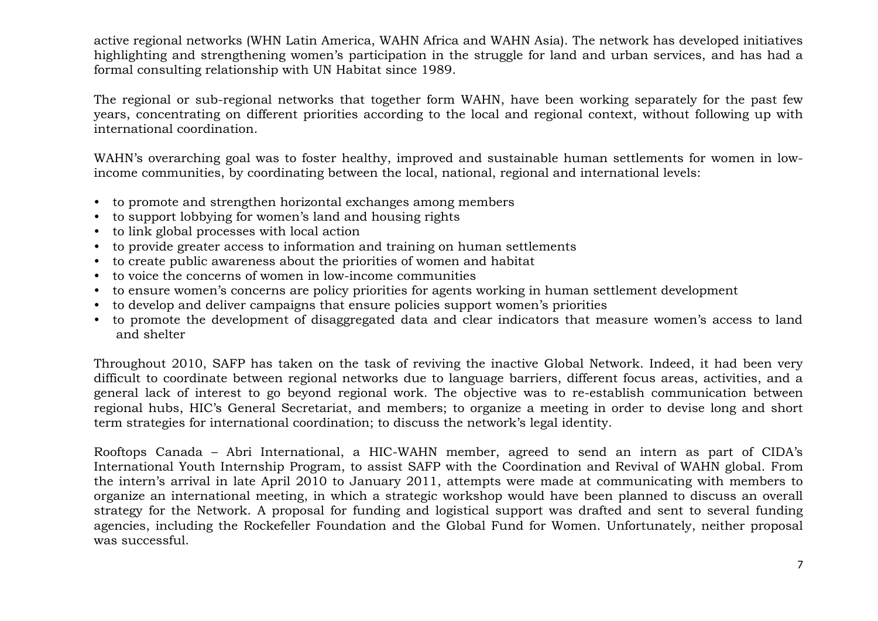active regional networks (WHN Latin America, WAHN Africa and WAHN Asia). The network has developed initiatives highlighting and strengthening women's participation in the struggle for land and urban services, and has had a formal consulting relationship with UN Habitat since 1989.

The regional or sub-regional networks that together form WAHN, have been working separately for the past few years, concentrating on different priorities according to the local and regional context, without following up with international coordination.

WAHN's overarching goal was to foster healthy, improved and sustainable human settlements for women in lowincome communities, by coordinating between the local, national, regional and international levels:

- to promote and strengthen horizontal exchanges among members
- to support lobbying for women's land and housing rights
- to link global processes with local action
- to provide greater access to information and training on human settlements
- to create public awareness about the priorities of women and habitat
- to voice the concerns of women in low-income communities
- to ensure women's concerns are policy priorities for agents working in human settlement development
- to develop and deliver campaigns that ensure policies support women's priorities
- to promote the development of disaggregated data and clear indicators that measure women's access to land and shelter

Throughout 2010, SAFP has taken on the task of reviving the inactive Global Network. Indeed, it had been very difficult to coordinate between regional networks due to language barriers, different focus areas, activities, and a general lack of interest to go beyond regional work. The objective was to re-establish communication between regional hubs, HIC's General Secretariat, and members; to organize a meeting in order to devise long and short term strategies for international coordination; to discuss the network's legal identity.

Rooftops Canada – Abri International, a HIC-WAHN member, agreed to send an intern as part of CIDA's International Youth Internship Program, to assist SAFP with the Coordination and Revival of WAHN global. From the intern's arrival in late April 2010 to January 2011, attempts were made at communicating with members to organize an international meeting, in which a strategic workshop would have been planned to discuss an overall strategy for the Network. A proposal for funding and logistical support was drafted and sent to several funding agencies, including the Rockefeller Foundation and the Global Fund for Women. Unfortunately, neither proposal was successful.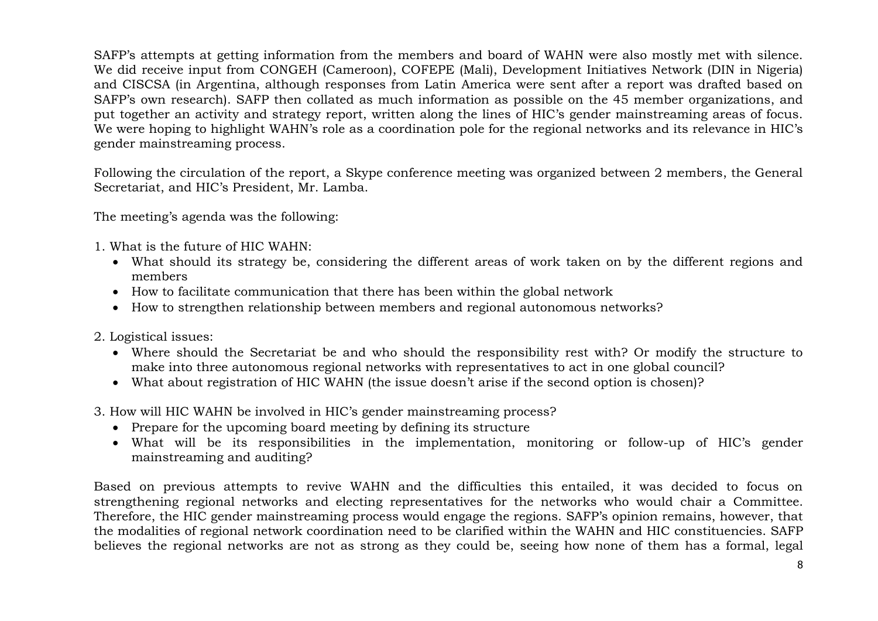SAFP's attempts at getting information from the members and board of WAHN were also mostly met with silence. We did receive input from CONGEH (Cameroon), COFEPE (Mali), Development Initiatives Network (DIN in Nigeria) and CISCSA (in Argentina, although responses from Latin America were sent after a report was drafted based on SAFP's own research). SAFP then collated as much information as possible on the 45 member organizations, and put together an activity and strategy report, written along the lines of HIC's gender mainstreaming areas of focus. We were hoping to highlight WAHN's role as a coordination pole for the regional networks and its relevance in HIC's gender mainstreaming process.

Following the circulation of the report, a Skype conference meeting was organized between 2 members, the General Secretariat, and HIC's President, Mr. Lamba.

The meeting's agenda was the following:

- 1. What is the future of HIC WAHN:
	- What should its strategy be, considering the different areas of work taken on by the different regions and members
	- How to facilitate communication that there has been within the global network
	- How to strengthen relationship between members and regional autonomous networks?
- 2. Logistical issues:
	- Where should the Secretariat be and who should the responsibility rest with? Or modify the structure to make into three autonomous regional networks with representatives to act in one global council?
	- What about registration of HIC WAHN (the issue doesn't arise if the second option is chosen)?
- 3. How will HIC WAHN be involved in HIC's gender mainstreaming process?
	- Prepare for the upcoming board meeting by defining its structure
	- What will be its responsibilities in the implementation, monitoring or follow-up of HIC's gender mainstreaming and auditing?

Based on previous attempts to revive WAHN and the difficulties this entailed, it was decided to focus on strengthening regional networks and electing representatives for the networks who would chair a Committee. Therefore, the HIC gender mainstreaming process would engage the regions. SAFP's opinion remains, however, that the modalities of regional network coordination need to be clarified within the WAHN and HIC constituencies. SAFP believes the regional networks are not as strong as they could be, seeing how none of them has a formal, legal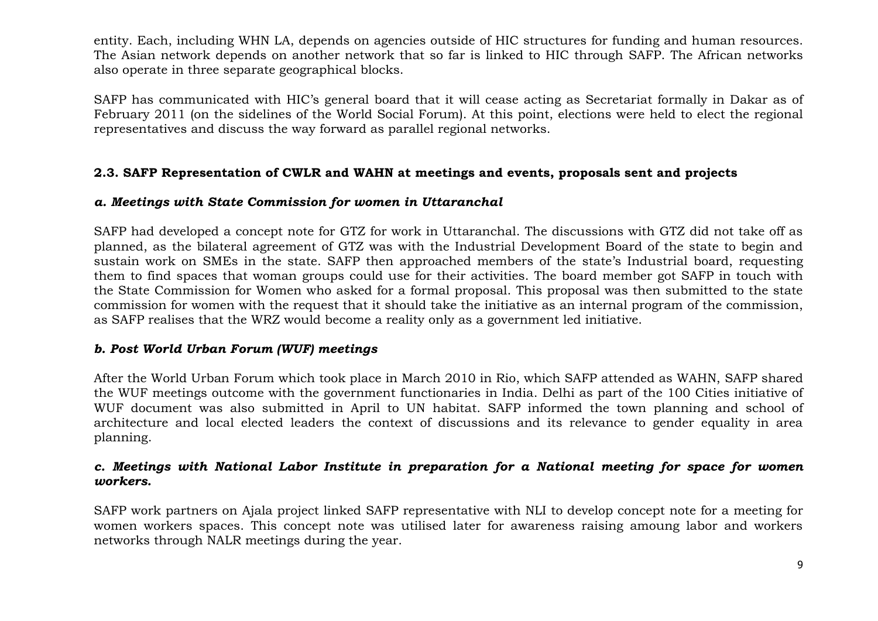entity. Each, including WHN LA, depends on agencies outside of HIC structures for funding and human resources. The Asian network depends on another network that so far is linked to HIC through SAFP. The African networks also operate in three separate geographical blocks.

SAFP has communicated with HIC's general board that it will cease acting as Secretariat formally in Dakar as of February 2011 (on the sidelines of the World Social Forum). At this point, elections were held to elect the regional representatives and discuss the way forward as parallel regional networks.

### **2.3. SAFP Representation of CWLR and WAHN at meetings and events, proposals sent and projects**

### *a. Meetings with State Commission for women in Uttaranchal*

SAFP had developed a concept note for GTZ for work in Uttaranchal. The discussions with GTZ did not take off as planned, as the bilateral agreement of GTZ was with the Industrial Development Board of the state to begin and sustain work on SMEs in the state. SAFP then approached members of the state's Industrial board, requesting them to find spaces that woman groups could use for their activities. The board member got SAFP in touch with the State Commission for Women who asked for a formal proposal. This proposal was then submitted to the state commission for women with the request that it should take the initiative as an internal program of the commission, as SAFP realises that the WRZ would become a reality only as a government led initiative.

# *b. Post World Urban Forum (WUF) meetings*

After the World Urban Forum which took place in March 2010 in Rio, which SAFP attended as WAHN, SAFP shared the WUF meetings outcome with the government functionaries in India. Delhi as part of the 100 Cities initiative of WUF document was also submitted in April to UN habitat. SAFP informed the town planning and school of architecture and local elected leaders the context of discussions and its relevance to gender equality in area planning.

### *c. Meetings with National Labor Institute in preparation for a National meeting for space for women workers.*

SAFP work partners on Ajala project linked SAFP representative with NLI to develop concept note for a meeting for women workers spaces. This concept note was utilised later for awareness raising amoung labor and workers networks through NALR meetings during the year.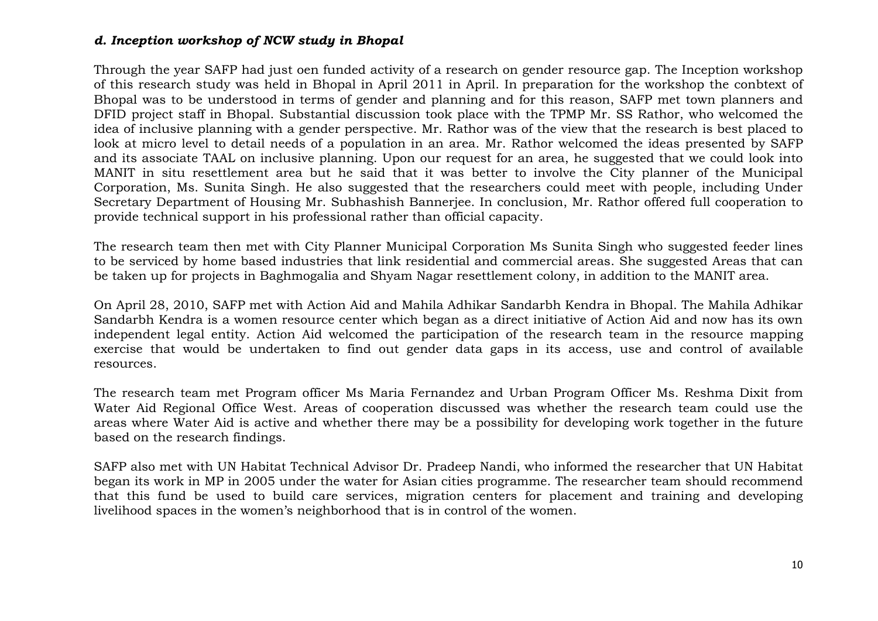### *d. Inception workshop of NCW study in Bhopal*

Through the year SAFP had just oen funded activity of a research on gender resource gap. The Inception workshop of this research study was held in Bhopal in April 2011 in April. In preparation for the workshop the conbtext of Bhopal was to be understood in terms of gender and planning and for this reason, SAFP met town planners and DFID project staff in Bhopal. Substantial discussion took place with the TPMP Mr. SS Rathor, who welcomed the idea of inclusive planning with a gender perspective. Mr. Rathor was of the view that the research is best placed to look at micro level to detail needs of a population in an area. Mr. Rathor welcomed the ideas presented by SAFP and its associate TAAL on inclusive planning. Upon our request for an area, he suggested that we could look into MANIT in situ resettlement area but he said that it was better to involve the City planner of the Municipal Corporation, Ms. Sunita Singh. He also suggested that the researchers could meet with people, including Under Secretary Department of Housing Mr. Subhashish Bannerjee. In conclusion, Mr. Rathor offered full cooperation to provide technical support in his professional rather than official capacity.

The research team then met with City Planner Municipal Corporation Ms Sunita Singh who suggested feeder lines to be serviced by home based industries that link residential and commercial areas. She suggested Areas that can be taken up for projects in Baghmogalia and Shyam Nagar resettlement colony, in addition to the MANIT area.

On April 28, 2010, SAFP met with Action Aid and Mahila Adhikar Sandarbh Kendra in Bhopal. The Mahila Adhikar Sandarbh Kendra is a women resource center which began as a direct initiative of Action Aid and now has its own independent legal entity. Action Aid welcomed the participation of the research team in the resource mapping exercise that would be undertaken to find out gender data gaps in its access, use and control of available resources.

The research team met Program officer Ms Maria Fernandez and Urban Program Officer Ms. Reshma Dixit from Water Aid Regional Office West. Areas of cooperation discussed was whether the research team could use the areas where Water Aid is active and whether there may be a possibility for developing work together in the future based on the research findings.

SAFP also met with UN Habitat Technical Advisor Dr. Pradeep Nandi, who informed the researcher that UN Habitat began its work in MP in 2005 under the water for Asian cities programme. The researcher team should recommend that this fund be used to build care services, migration centers for placement and training and developing livelihood spaces in the women's neighborhood that is in control of the women.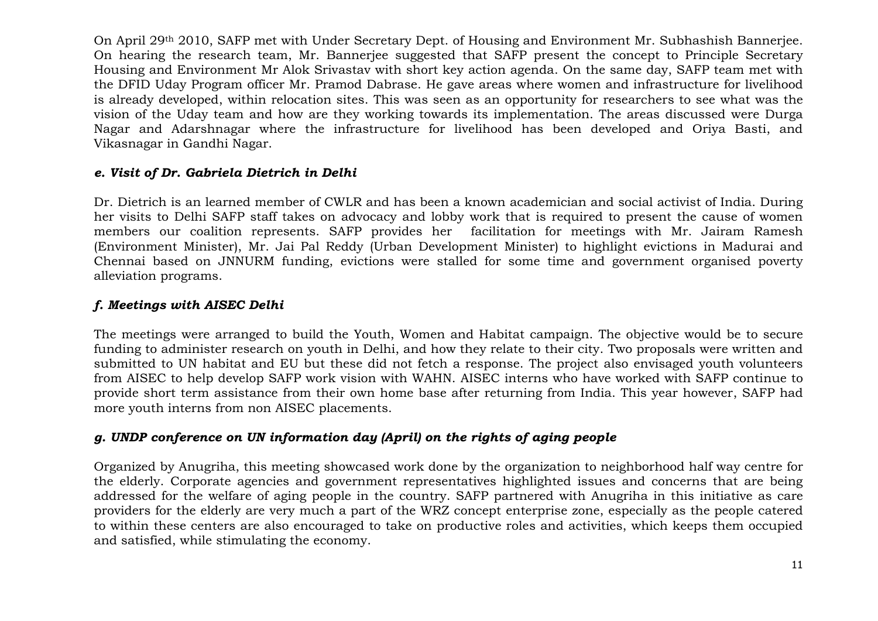On April 29th 2010, SAFP met with Under Secretary Dept. of Housing and Environment Mr. Subhashish Bannerjee. On hearing the research team, Mr. Bannerjee suggested that SAFP present the concept to Principle Secretary Housing and Environment Mr Alok Srivastav with short key action agenda. On the same day, SAFP team met with the DFID Uday Program officer Mr. Pramod Dabrase. He gave areas where women and infrastructure for livelihood is already developed, within relocation sites. This was seen as an opportunity for researchers to see what was the vision of the Uday team and how are they working towards its implementation. The areas discussed were Durga Nagar and Adarshnagar where the infrastructure for livelihood has been developed and Oriya Basti, and Vikasnagar in Gandhi Nagar.

# *e. Visit of Dr. Gabriela Dietrich in Delhi*

Dr. Dietrich is an learned member of CWLR and has been a known academician and social activist of India. During her visits to Delhi SAFP staff takes on advocacy and lobby work that is required to present the cause of women members our coalition represents. SAFP provides her facilitation for meetings with Mr. Jairam Ramesh (Environment Minister), Mr. Jai Pal Reddy (Urban Development Minister) to highlight evictions in Madurai and Chennai based on JNNURM funding, evictions were stalled for some time and government organised poverty alleviation programs.

# *f. Meetings with AISEC Delhi*

The meetings were arranged to build the Youth, Women and Habitat campaign. The objective would be to secure funding to administer research on youth in Delhi, and how they relate to their city. Two proposals were written and submitted to UN habitat and EU but these did not fetch a response. The project also envisaged youth volunteers from AISEC to help develop SAFP work vision with WAHN. AISEC interns who have worked with SAFP continue to provide short term assistance from their own home base after returning from India. This year however, SAFP had more youth interns from non AISEC placements.

# *g. UNDP conference on UN information day (April) on the rights of aging people*

Organized by Anugriha, this meeting showcased work done by the organization to neighborhood half way centre for the elderly. Corporate agencies and government representatives highlighted issues and concerns that are being addressed for the welfare of aging people in the country. SAFP partnered with Anugriha in this initiative as care providers for the elderly are very much a part of the WRZ concept enterprise zone, especially as the people catered to within these centers are also encouraged to take on productive roles and activities, which keeps them occupied and satisfied, while stimulating the economy.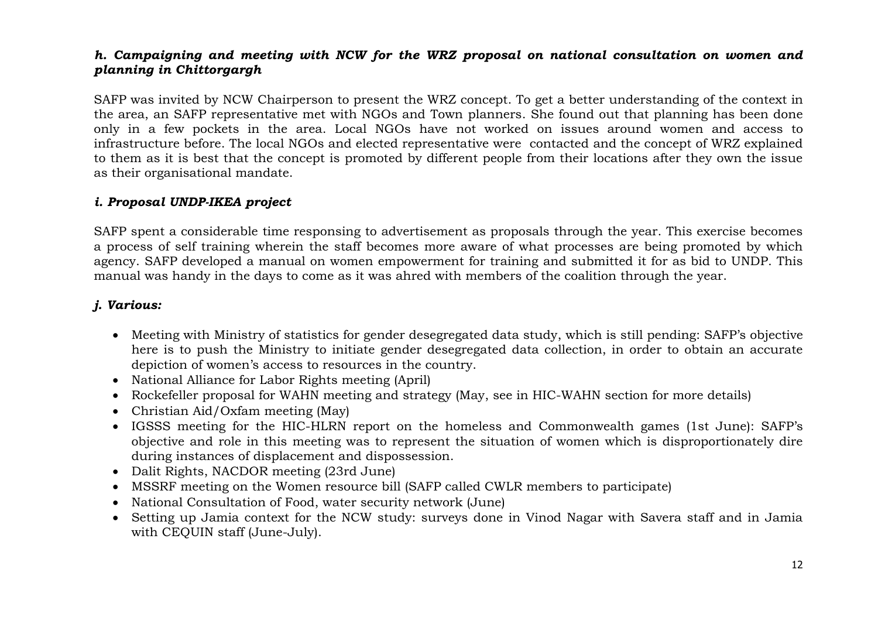# *h. Campaigning and meeting with NCW for the WRZ proposal on national consultation on women and planning in Chittorgargh*

SAFP was invited by NCW Chairperson to present the WRZ concept. To get a better understanding of the context in the area, an SAFP representative met with NGOs and Town planners. She found out that planning has been done only in a few pockets in the area. Local NGOs have not worked on issues around women and access to infrastructure before. The local NGOs and elected representative were contacted and the concept of WRZ explained to them as it is best that the concept is promoted by different people from their locations after they own the issue as their organisational mandate.

#### *i. Proposal UNDP-IKEA project*

SAFP spent a considerable time responsing to advertisement as proposals through the year. This exercise becomes a process of self training wherein the staff becomes more aware of what processes are being promoted by which agency. SAFP developed a manual on women empowerment for training and submitted it for as bid to UNDP. This manual was handy in the days to come as it was ahred with members of the coalition through the year.

# *j. Various:*

- Meeting with Ministry of statistics for gender desegregated data study, which is still pending: SAFP's objective here is to push the Ministry to initiate gender desegregated data collection, in order to obtain an accurate depiction of women's access to resources in the country.
- National Alliance for Labor Rights meeting (April)
- Rockefeller proposal for WAHN meeting and strategy (May, see in HIC-WAHN section for more details)
- Christian Aid/Oxfam meeting (May)
- IGSSS meeting for the HIC-HLRN report on the homeless and Commonwealth games (1st June): SAFP's objective and role in this meeting was to represent the situation of women which is disproportionately dire during instances of displacement and dispossession.
- Dalit Rights, NACDOR meeting (23rd June)
- MSSRF meeting on the Women resource bill (SAFP called CWLR members to participate)
- National Consultation of Food, water security network (June)
- Setting up Jamia context for the NCW study: surveys done in Vinod Nagar with Savera staff and in Jamia with CEQUIN staff (June-July).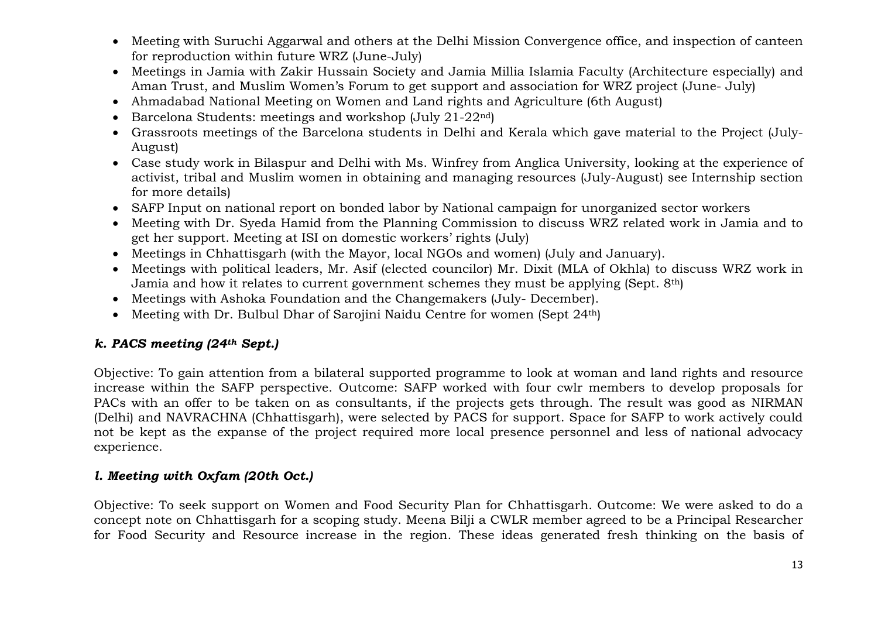- Meeting with Suruchi Aggarwal and others at the Delhi Mission Convergence office, and inspection of canteen for reproduction within future WRZ (June-July)
- Meetings in Jamia with Zakir Hussain Society and Jamia Millia Islamia Faculty (Architecture especially) and Aman Trust, and Muslim Women's Forum to get support and association for WRZ project (June- July)
- Ahmadabad National Meeting on Women and Land rights and Agriculture (6th August)
- Barcelona Students: meetings and workshop (July 21-22nd)
- Grassroots meetings of the Barcelona students in Delhi and Kerala which gave material to the Project (July-August)
- Case study work in Bilaspur and Delhi with Ms. Winfrey from Anglica University, looking at the experience of activist, tribal and Muslim women in obtaining and managing resources (July-August) see Internship section for more details)
- SAFP Input on national report on bonded labor by National campaign for unorganized sector workers
- Meeting with Dr. Syeda Hamid from the Planning Commission to discuss WRZ related work in Jamia and to get her support. Meeting at ISI on domestic workers' rights (July)
- Meetings in Chhattisgarh (with the Mayor, local NGOs and women) (July and January).
- Meetings with political leaders, Mr. Asif (elected councilor) Mr. Dixit (MLA of Okhla) to discuss WRZ work in Jamia and how it relates to current government schemes they must be applying (Sept. 8th)
- Meetings with Ashoka Foundation and the Changemakers (July- December).
- Meeting with Dr. Bulbul Dhar of Sarojini Naidu Centre for women (Sept 24<sup>th</sup>)

# *k. PACS meeting (24th Sept.)*

Objective: To gain attention from a bilateral supported programme to look at woman and land rights and resource increase within the SAFP perspective. Outcome: SAFP worked with four cwlr members to develop proposals for PACs with an offer to be taken on as consultants, if the projects gets through. The result was good as NIRMAN (Delhi) and NAVRACHNA (Chhattisgarh), were selected by PACS for support. Space for SAFP to work actively could not be kept as the expanse of the project required more local presence personnel and less of national advocacy experience.

# *l. Meeting with Oxfam (20th Oct.)*

Objective: To seek support on Women and Food Security Plan for Chhattisgarh. Outcome: We were asked to do a concept note on Chhattisgarh for a scoping study. Meena Bilji a CWLR member agreed to be a Principal Researcher for Food Security and Resource increase in the region. These ideas generated fresh thinking on the basis of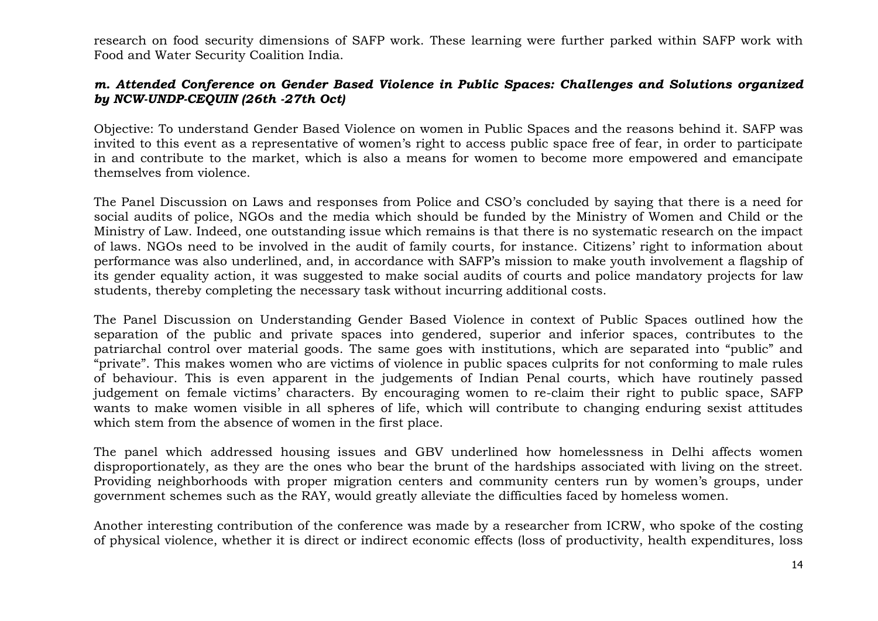research on food security dimensions of SAFP work. These learning were further parked within SAFP work with Food and Water Security Coalition India.

### *m. Attended Conference on Gender Based Violence in Public Spaces: Challenges and Solutions organized by NCW-UNDP-CEQUIN (26th -27th Oct)*

Objective: To understand Gender Based Violence on women in Public Spaces and the reasons behind it. SAFP was invited to this event as a representative of women's right to access public space free of fear, in order to participate in and contribute to the market, which is also a means for women to become more empowered and emancipate themselves from violence.

The Panel Discussion on Laws and responses from Police and CSO's concluded by saying that there is a need for social audits of police, NGOs and the media which should be funded by the Ministry of Women and Child or the Ministry of Law. Indeed, one outstanding issue which remains is that there is no systematic research on the impact of laws. NGOs need to be involved in the audit of family courts, for instance. Citizens' right to information about performance was also underlined, and, in accordance with SAFP's mission to make youth involvement a flagship of its gender equality action, it was suggested to make social audits of courts and police mandatory projects for law students, thereby completing the necessary task without incurring additional costs.

The Panel Discussion on Understanding Gender Based Violence in context of Public Spaces outlined how the separation of the public and private spaces into gendered, superior and inferior spaces, contributes to the patriarchal control over material goods. The same goes with institutions, which are separated into "public" and "private". This makes women who are victims of violence in public spaces culprits for not conforming to male rules of behaviour. This is even apparent in the judgements of Indian Penal courts, which have routinely passed judgement on female victims' characters. By encouraging women to re-claim their right to public space, SAFP wants to make women visible in all spheres of life, which will contribute to changing enduring sexist attitudes which stem from the absence of women in the first place.

The panel which addressed housing issues and GBV underlined how homelessness in Delhi affects women disproportionately, as they are the ones who bear the brunt of the hardships associated with living on the street. Providing neighborhoods with proper migration centers and community centers run by women's groups, under government schemes such as the RAY, would greatly alleviate the difficulties faced by homeless women.

Another interesting contribution of the conference was made by a researcher from ICRW, who spoke of the costing of physical violence, whether it is direct or indirect economic effects (loss of productivity, health expenditures, loss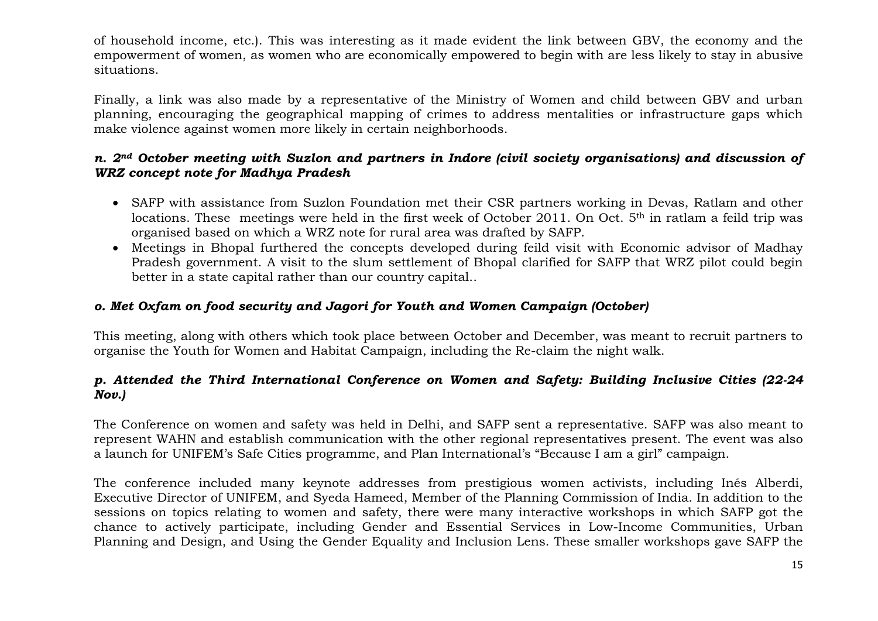of household income, etc.). This was interesting as it made evident the link between GBV, the economy and the empowerment of women, as women who are economically empowered to begin with are less likely to stay in abusive situations.

Finally, a link was also made by a representative of the Ministry of Women and child between GBV and urban planning, encouraging the geographical mapping of crimes to address mentalities or infrastructure gaps which make violence against women more likely in certain neighborhoods.

## *n. 2nd October meeting with Suzlon and partners in Indore (civil society organisations) and discussion of WRZ concept note for Madhya Pradesh*

- SAFP with assistance from Suzlon Foundation met their CSR partners working in Devas, Ratlam and other locations. These meetings were held in the first week of October 2011. On Oct. 5<sup>th</sup> in ratlam a feild trip was organised based on which a WRZ note for rural area was drafted by SAFP.
- Meetings in Bhopal furthered the concepts developed during feild visit with Economic advisor of Madhay Pradesh government. A visit to the slum settlement of Bhopal clarified for SAFP that WRZ pilot could begin better in a state capital rather than our country capital..

# *o. Met Oxfam on food security and Jagori for Youth and Women Campaign (October)*

This meeting, along with others which took place between October and December, was meant to recruit partners to organise the Youth for Women and Habitat Campaign, including the Re-claim the night walk.

# *p. Attended the Third International Conference on Women and Safety: Building Inclusive Cities (22-24 Nov.)*

The Conference on women and safety was held in Delhi, and SAFP sent a representative. SAFP was also meant to represent WAHN and establish communication with the other regional representatives present. The event was also a launch for UNIFEM's Safe Cities programme, and Plan International's "Because I am a girl" campaign.

The conference included many keynote addresses from prestigious women activists, including Inés Alberdi, Executive Director of UNIFEM, and Syeda Hameed, Member of the Planning Commission of India. In addition to the sessions on topics relating to women and safety, there were many interactive workshops in which SAFP got the chance to actively participate, including Gender and Essential Services in Low-Income Communities, Urban Planning and Design, and Using the Gender Equality and Inclusion Lens. These smaller workshops gave SAFP the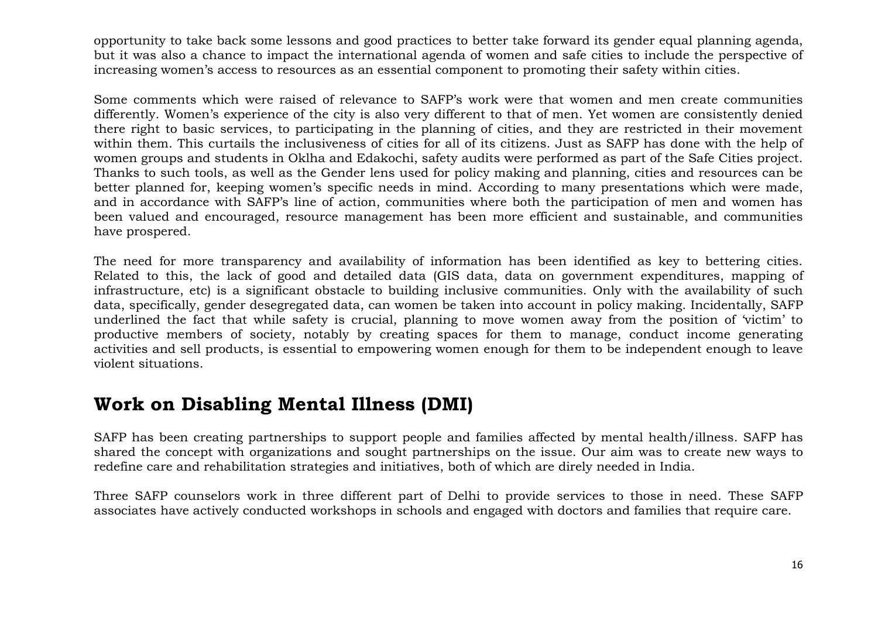opportunity to take back some lessons and good practices to better take forward its gender equal planning agenda, but it was also a chance to impact the international agenda of women and safe cities to include the perspective of increasing women's access to resources as an essential component to promoting their safety within cities.

Some comments which were raised of relevance to SAFP's work were that women and men create communities differently. Women's experience of the city is also very different to that of men. Yet women are consistently denied there right to basic services, to participating in the planning of cities, and they are restricted in their movement within them. This curtails the inclusiveness of cities for all of its citizens. Just as SAFP has done with the help of women groups and students in Oklha and Edakochi, safety audits were performed as part of the Safe Cities project. Thanks to such tools, as well as the Gender lens used for policy making and planning, cities and resources can be better planned for, keeping women's specific needs in mind. According to many presentations which were made, and in accordance with SAFP's line of action, communities where both the participation of men and women has been valued and encouraged, resource management has been more efficient and sustainable, and communities have prospered.

The need for more transparency and availability of information has been identified as key to bettering cities. Related to this, the lack of good and detailed data (GIS data, data on government expenditures, mapping of infrastructure, etc) is a significant obstacle to building inclusive communities. Only with the availability of such data, specifically, gender desegregated data, can women be taken into account in policy making. Incidentally, SAFP underlined the fact that while safety is crucial, planning to move women away from the position of 'victim' to productive members of society, notably by creating spaces for them to manage, conduct income generating activities and sell products, is essential to empowering women enough for them to be independent enough to leave violent situations.

# **Work on Disabling Mental Illness (DMI)**

SAFP has been creating partnerships to support people and families affected by mental health/illness. SAFP has shared the concept with organizations and sought partnerships on the issue. Our aim was to create new ways to redefine care and rehabilitation strategies and initiatives, both of which are direly needed in India.

Three SAFP counselors work in three different part of Delhi to provide services to those in need. These SAFP associates have actively conducted workshops in schools and engaged with doctors and families that require care.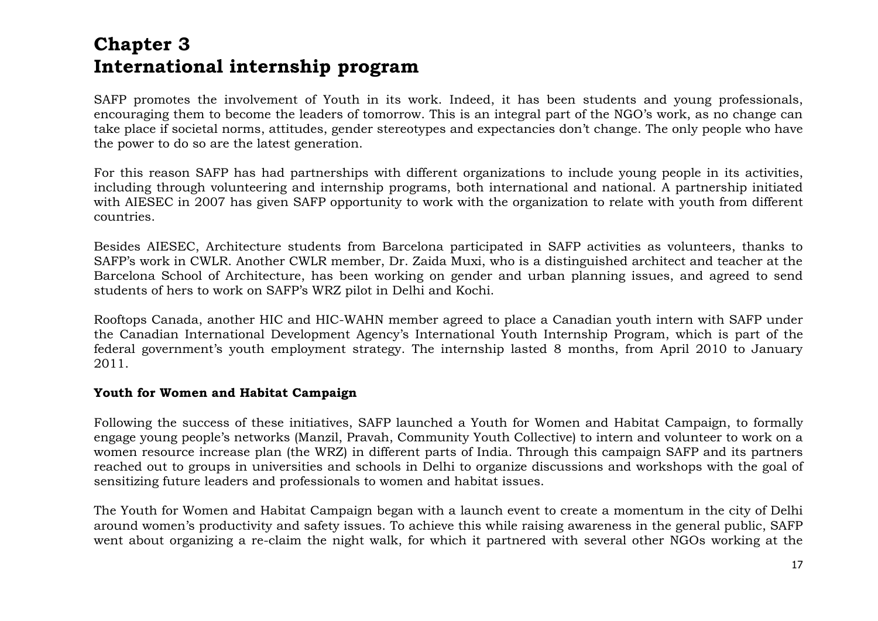# **Chapter 3 International internship program**

SAFP promotes the involvement of Youth in its work. Indeed, it has been students and young professionals, encouraging them to become the leaders of tomorrow. This is an integral part of the NGO's work, as no change can take place if societal norms, attitudes, gender stereotypes and expectancies don't change. The only people who have the power to do so are the latest generation.

For this reason SAFP has had partnerships with different organizations to include young people in its activities, including through volunteering and internship programs, both international and national. A partnership initiated with AIESEC in 2007 has given SAFP opportunity to work with the organization to relate with youth from different countries.

Besides AIESEC, Architecture students from Barcelona participated in SAFP activities as volunteers, thanks to SAFP's work in CWLR. Another CWLR member, Dr. Zaida Muxi, who is a distinguished architect and teacher at the Barcelona School of Architecture, has been working on gender and urban planning issues, and agreed to send students of hers to work on SAFP's WRZ pilot in Delhi and Kochi.

Rooftops Canada, another HIC and HIC-WAHN member agreed to place a Canadian youth intern with SAFP under the Canadian International Development Agency's International Youth Internship Program, which is part of the federal government's youth employment strategy. The internship lasted 8 months, from April 2010 to January 2011.

#### **Youth for Women and Habitat Campaign**

Following the success of these initiatives, SAFP launched a Youth for Women and Habitat Campaign, to formally engage young people's networks (Manzil, Pravah, Community Youth Collective) to intern and volunteer to work on a women resource increase plan (the WRZ) in different parts of India. Through this campaign SAFP and its partners reached out to groups in universities and schools in Delhi to organize discussions and workshops with the goal of sensitizing future leaders and professionals to women and habitat issues.

The Youth for Women and Habitat Campaign began with a launch event to create a momentum in the city of Delhi around women's productivity and safety issues. To achieve this while raising awareness in the general public, SAFP went about organizing a re-claim the night walk, for which it partnered with several other NGOs working at the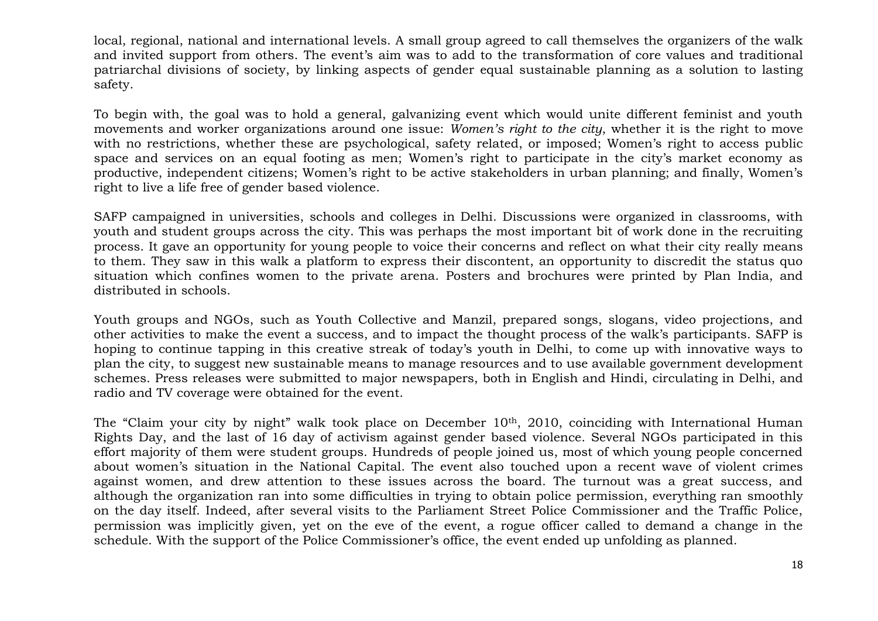local, regional, national and international levels. A small group agreed to call themselves the organizers of the walk and invited support from others. The event's aim was to add to the transformation of core values and traditional patriarchal divisions of society, by linking aspects of gender equal sustainable planning as a solution to lasting safety.

To begin with, the goal was to hold a general, galvanizing event which would unite different feminist and youth movements and worker organizations around one issue: *Women's right to the city*, whether it is the right to move with no restrictions, whether these are psychological, safety related, or imposed; Women's right to access public space and services on an equal footing as men; Women's right to participate in the city's market economy as productive, independent citizens; Women's right to be active stakeholders in urban planning; and finally, Women's right to live a life free of gender based violence.

SAFP campaigned in universities, schools and colleges in Delhi. Discussions were organized in classrooms, with youth and student groups across the city. This was perhaps the most important bit of work done in the recruiting process. It gave an opportunity for young people to voice their concerns and reflect on what their city really means to them. They saw in this walk a platform to express their discontent, an opportunity to discredit the status quo situation which confines women to the private arena. Posters and brochures were printed by Plan India, and distributed in schools.

Youth groups and NGOs, such as Youth Collective and Manzil, prepared songs, slogans, video projections, and other activities to make the event a success, and to impact the thought process of the walk's participants. SAFP is hoping to continue tapping in this creative streak of today's youth in Delhi, to come up with innovative ways to plan the city, to suggest new sustainable means to manage resources and to use available government development schemes. Press releases were submitted to major newspapers, both in English and Hindi, circulating in Delhi, and radio and TV coverage were obtained for the event.

The "Claim your city by night" walk took place on December 10<sup>th</sup>, 2010, coinciding with International Human Rights Day, and the last of 16 day of activism against gender based violence. Several NGOs participated in this effort majority of them were student groups. Hundreds of people joined us, most of which young people concerned about women's situation in the National Capital. The event also touched upon a recent wave of violent crimes against women, and drew attention to these issues across the board. The turnout was a great success, and although the organization ran into some difficulties in trying to obtain police permission, everything ran smoothly on the day itself. Indeed, after several visits to the Parliament Street Police Commissioner and the Traffic Police, permission was implicitly given, yet on the eve of the event, a rogue officer called to demand a change in the schedule. With the support of the Police Commissioner's office, the event ended up unfolding as planned.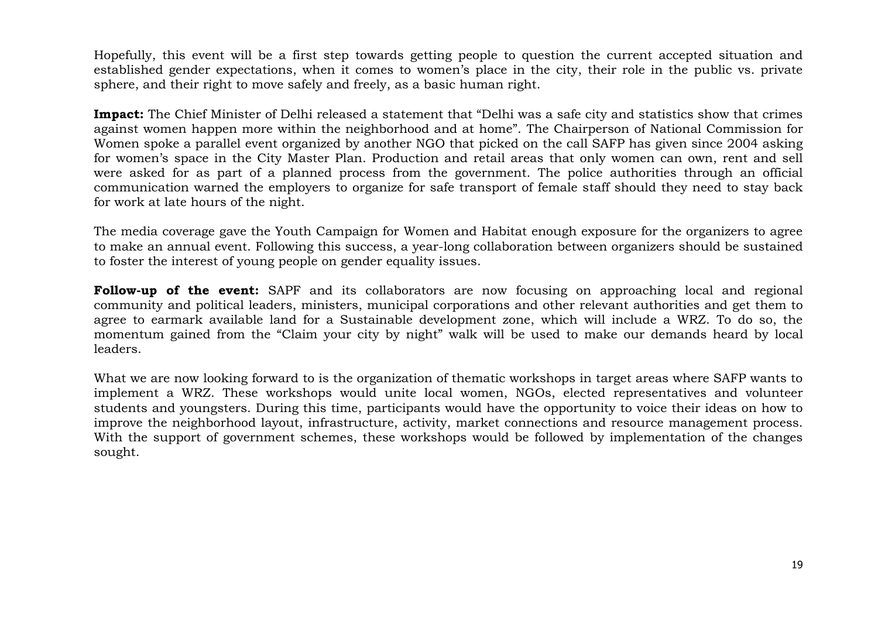Hopefully, this event will be a first step towards getting people to question the current accepted situation and established gender expectations, when it comes to women's place in the city, their role in the public vs. private sphere, and their right to move safely and freely, as a basic human right.

**Impact:** The Chief Minister of Delhi released a statement that "Delhi was a safe city and statistics show that crimes against women happen more within the neighborhood and at home". The Chairperson of National Commission for Women spoke a parallel event organized by another NGO that picked on the call SAFP has given since 2004 asking for women's space in the City Master Plan. Production and retail areas that only women can own, rent and sell were asked for as part of a planned process from the government. The police authorities through an official communication warned the employers to organize for safe transport of female staff should they need to stay back for work at late hours of the night.

The media coverage gave the Youth Campaign for Women and Habitat enough exposure for the organizers to agree to make an annual event. Following this success, a year-long collaboration between organizers should be sustained to foster the interest of young people on gender equality issues.

**Follow-up of the event:** SAPF and its collaborators are now focusing on approaching local and regional community and political leaders, ministers, municipal corporations and other relevant authorities and get them to agree to earmark available land for a Sustainable development zone, which will include a WRZ. To do so, the momentum gained from the "Claim your city by night" walk will be used to make our demands heard by local leaders.

What we are now looking forward to is the organization of thematic workshops in target areas where SAFP wants to implement a WRZ. These workshops would unite local women, NGOs, elected representatives and volunteer students and youngsters. During this time, participants would have the opportunity to voice their ideas on how to improve the neighborhood layout, infrastructure, activity, market connections and resource management process. With the support of government schemes, these workshops would be followed by implementation of the changes sought.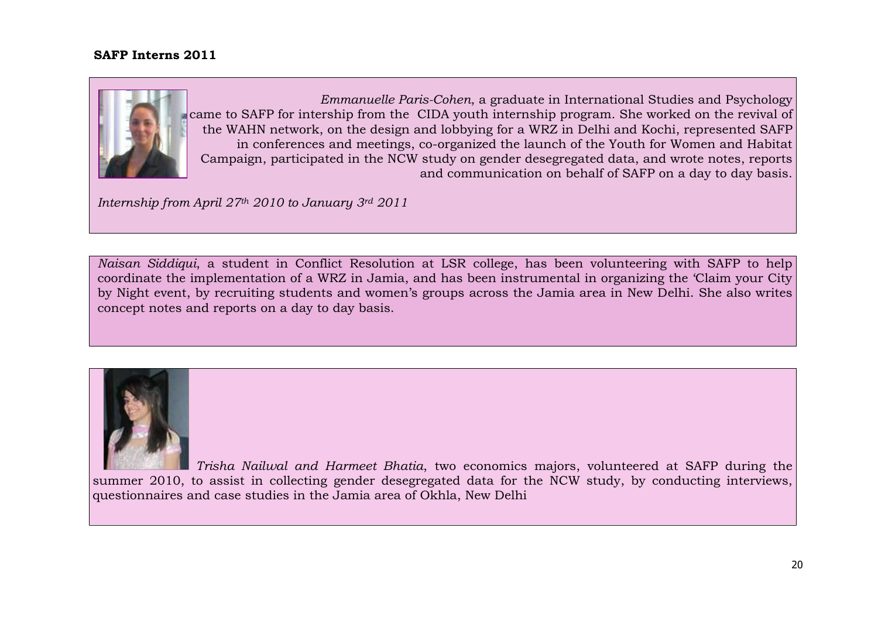### **SAFP Interns 2011**



 *Emmanuelle Paris-Cohen*, a graduate in International Studies and Psychology came to SAFP for intership from the CIDA youth internship program. She worked on the revival of the WAHN network, on the design and lobbying for a WRZ in Delhi and Kochi, represented SAFP in conferences and meetings, co-organized the launch of the Youth for Women and Habitat Campaign, participated in the NCW study on gender desegregated data, and wrote notes, reports and communication on behalf of SAFP on a day to day basis.

*Internship from April 27th 2010 to January 3rd 2011*

*Naisan Siddiqui*, a student in Conflict Resolution at LSR college, has been volunteering with SAFP to help coordinate the implementation of a WRZ in Jamia, and has been instrumental in organizing the 'Claim your City by Night event, by recruiting students and women's groups across the Jamia area in New Delhi. She also writes concept notes and reports on a day to day basis.



 *Trisha Nailwal and Harmeet Bhatia*, two economics majors, volunteered at SAFP during the summer 2010, to assist in collecting gender desegregated data for the NCW study, by conducting interviews, questionnaires and case studies in the Jamia area of Okhla, New Delhi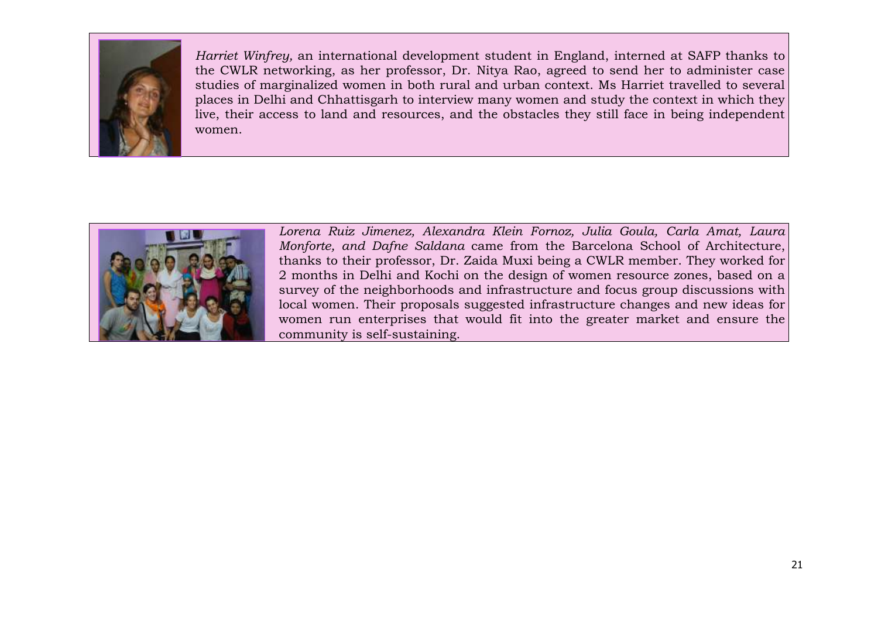

*Harriet Winfrey,* an international development student in England, interned at SAFP thanks to the CWLR networking, as her professor, Dr. Nitya Rao, agreed to send her to administer case studies of marginalized women in both rural and urban context. Ms Harriet travelled to several places in Delhi and Chhattisgarh to interview many women and study the context in which they live, their access to land and resources, and the obstacles they still face in being independent women.



*Lorena Ruiz Jimenez, Alexandra Klein Fornoz, Julia Goula, Carla Amat, Laura Monforte, and Dafne Saldana* came from the Barcelona School of Architecture, thanks to their professor, Dr. Zaida Muxi being a CWLR member. They worked for 2 months in Delhi and Kochi on the design of women resource zones, based on a survey of the neighborhoods and infrastructure and focus group discussions with local women. Their proposals suggested infrastructure changes and new ideas for women run enterprises that would fit into the greater market and ensure the community is self-sustaining.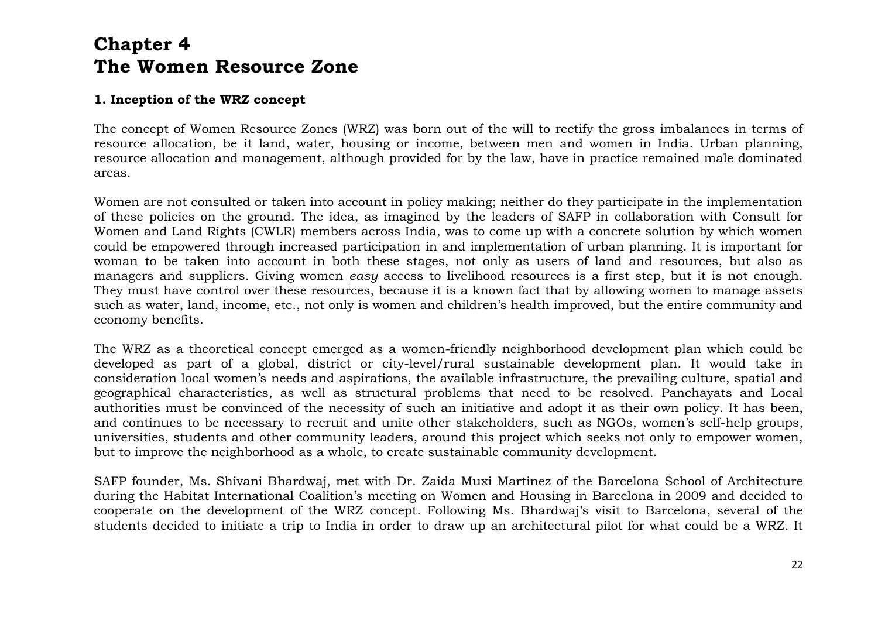# **Chapter 4 The Women Resource Zone**

### **1. Inception of the WRZ concept**

The concept of Women Resource Zones (WRZ) was born out of the will to rectify the gross imbalances in terms of resource allocation, be it land, water, housing or income, between men and women in India. Urban planning, resource allocation and management, although provided for by the law, have in practice remained male dominated areas.

Women are not consulted or taken into account in policy making; neither do they participate in the implementation of these policies on the ground. The idea, as imagined by the leaders of SAFP in collaboration with Consult for Women and Land Rights (CWLR) members across India, was to come up with a concrete solution by which women could be empowered through increased participation in and implementation of urban planning. It is important for woman to be taken into account in both these stages, not only as users of land and resources, but also as managers and suppliers. Giving women *easy* access to livelihood resources is a first step, but it is not enough. They must have control over these resources, because it is a known fact that by allowing women to manage assets such as water, land, income, etc., not only is women and children's health improved, but the entire community and economy benefits.

The WRZ as a theoretical concept emerged as a women-friendly neighborhood development plan which could be developed as part of a global, district or city-level/rural sustainable development plan. It would take in consideration local women's needs and aspirations, the available infrastructure, the prevailing culture, spatial and geographical characteristics, as well as structural problems that need to be resolved. Panchayats and Local authorities must be convinced of the necessity of such an initiative and adopt it as their own policy. It has been, and continues to be necessary to recruit and unite other stakeholders, such as NGOs, women's self-help groups, universities, students and other community leaders, around this project which seeks not only to empower women, but to improve the neighborhood as a whole, to create sustainable community development.

SAFP founder, Ms. Shivani Bhardwaj, met with Dr. Zaida Muxi Martinez of the Barcelona School of Architecture during the Habitat International Coalition's meeting on Women and Housing in Barcelona in 2009 and decided to cooperate on the development of the WRZ concept. Following Ms. Bhardwaj's visit to Barcelona, several of the students decided to initiate a trip to India in order to draw up an architectural pilot for what could be a WRZ. It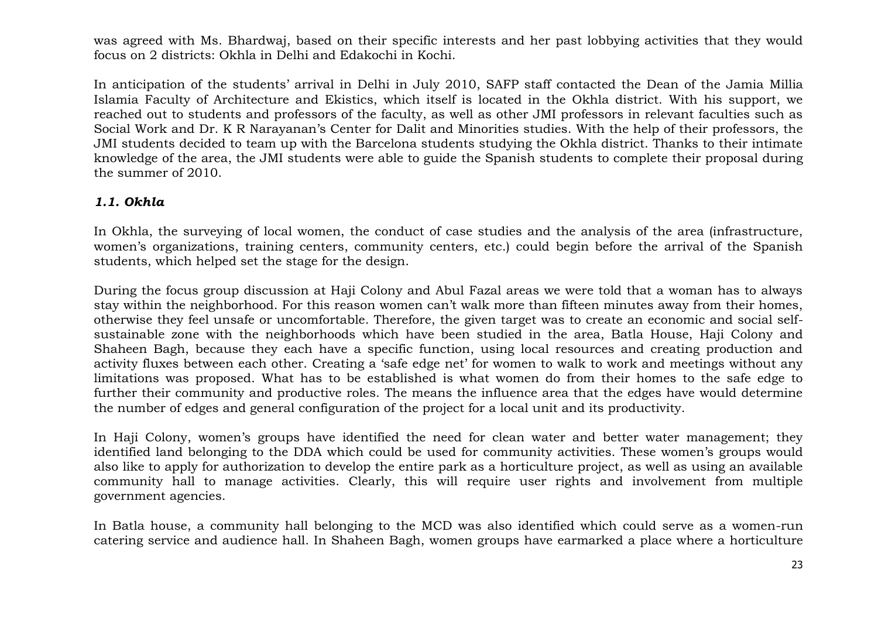was agreed with Ms. Bhardwaj, based on their specific interests and her past lobbying activities that they would focus on 2 districts: Okhla in Delhi and Edakochi in Kochi.

In anticipation of the students' arrival in Delhi in July 2010, SAFP staff contacted the Dean of the Jamia Millia Islamia Faculty of Architecture and Ekistics, which itself is located in the Okhla district. With his support, we reached out to students and professors of the faculty, as well as other JMI professors in relevant faculties such as Social Work and Dr. K R Narayanan's Center for Dalit and Minorities studies. With the help of their professors, the JMI students decided to team up with the Barcelona students studying the Okhla district. Thanks to their intimate knowledge of the area, the JMI students were able to guide the Spanish students to complete their proposal during the summer of 2010.

### *1.1. Okhla*

In Okhla, the surveying of local women, the conduct of case studies and the analysis of the area (infrastructure, women's organizations, training centers, community centers, etc.) could begin before the arrival of the Spanish students, which helped set the stage for the design.

During the focus group discussion at Haji Colony and Abul Fazal areas we were told that a woman has to always stay within the neighborhood. For this reason women can't walk more than fifteen minutes away from their homes, otherwise they feel unsafe or uncomfortable. Therefore, the given target was to create an economic and social selfsustainable zone with the neighborhoods which have been studied in the area, Batla House, Haji Colony and Shaheen Bagh, because they each have a specific function, using local resources and creating production and activity fluxes between each other. Creating a 'safe edge net' for women to walk to work and meetings without any limitations was proposed. What has to be established is what women do from their homes to the safe edge to further their community and productive roles. The means the influence area that the edges have would determine the number of edges and general configuration of the project for a local unit and its productivity.

In Haji Colony, women's groups have identified the need for clean water and better water management; they identified land belonging to the DDA which could be used for community activities. These women's groups would also like to apply for authorization to develop the entire park as a horticulture project, as well as using an available community hall to manage activities. Clearly, this will require user rights and involvement from multiple government agencies.

In Batla house, a community hall belonging to the MCD was also identified which could serve as a women-run catering service and audience hall. In Shaheen Bagh, women groups have earmarked a place where a horticulture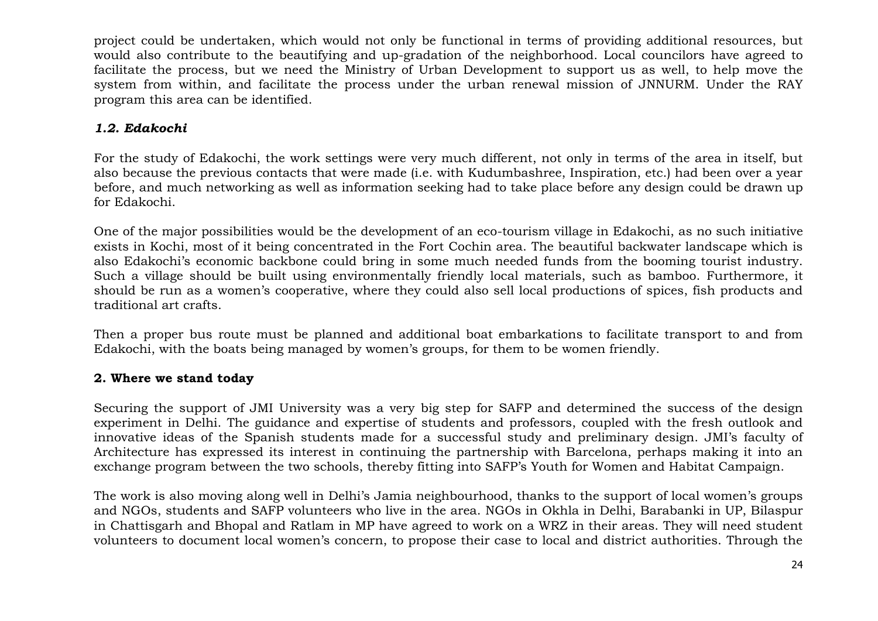project could be undertaken, which would not only be functional in terms of providing additional resources, but would also contribute to the beautifying and up-gradation of the neighborhood. Local councilors have agreed to facilitate the process, but we need the Ministry of Urban Development to support us as well, to help move the system from within, and facilitate the process under the urban renewal mission of JNNURM. Under the RAY program this area can be identified.

# *1.2. Edakochi*

For the study of Edakochi, the work settings were very much different, not only in terms of the area in itself, but also because the previous contacts that were made (i.e. with Kudumbashree, Inspiration, etc.) had been over a year before, and much networking as well as information seeking had to take place before any design could be drawn up for Edakochi.

One of the major possibilities would be the development of an eco-tourism village in Edakochi, as no such initiative exists in Kochi, most of it being concentrated in the Fort Cochin area. The beautiful backwater landscape which is also Edakochi's economic backbone could bring in some much needed funds from the booming tourist industry. Such a village should be built using environmentally friendly local materials, such as bamboo. Furthermore, it should be run as a women's cooperative, where they could also sell local productions of spices, fish products and traditional art crafts.

Then a proper bus route must be planned and additional boat embarkations to facilitate transport to and from Edakochi, with the boats being managed by women's groups, for them to be women friendly.

# **2. Where we stand today**

Securing the support of JMI University was a very big step for SAFP and determined the success of the design experiment in Delhi. The guidance and expertise of students and professors, coupled with the fresh outlook and innovative ideas of the Spanish students made for a successful study and preliminary design. JMI's faculty of Architecture has expressed its interest in continuing the partnership with Barcelona, perhaps making it into an exchange program between the two schools, thereby fitting into SAFP's Youth for Women and Habitat Campaign.

The work is also moving along well in Delhi's Jamia neighbourhood, thanks to the support of local women's groups and NGOs, students and SAFP volunteers who live in the area. NGOs in Okhla in Delhi, Barabanki in UP, Bilaspur in Chattisgarh and Bhopal and Ratlam in MP have agreed to work on a WRZ in their areas. They will need student volunteers to document local women's concern, to propose their case to local and district authorities. Through the